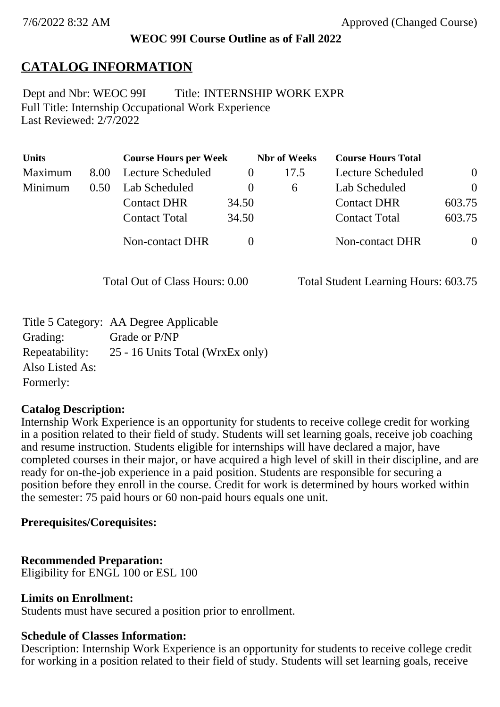## **WEOC 99I Course Outline as of Fall 2022**

## **CATALOG INFORMATION**

Full Title: Internship Occupational Work Experience Last Reviewed: 2/7/2022 Dept and Nbr: WEOC 99I Title: INTERNSHIP WORK EXPR

| <b>Units</b> |      | <b>Course Hours per Week</b> |          | <b>Nbr</b> of Weeks | <b>Course Hours Total</b> |                |
|--------------|------|------------------------------|----------|---------------------|---------------------------|----------------|
| Maximum      | 8.00 | Lecture Scheduled            | $\theta$ | 17.5                | Lecture Scheduled         | $\overline{0}$ |
| Minimum      | 0.50 | Lab Scheduled                | $\theta$ | $\sigma$            | Lab Scheduled             | $\theta$       |
|              |      | <b>Contact DHR</b>           | 34.50    |                     | <b>Contact DHR</b>        | 603.75         |
|              |      | <b>Contact Total</b>         | 34.50    |                     | <b>Contact Total</b>      | 603.75         |
|              |      | Non-contact DHR              |          |                     | <b>Non-contact DHR</b>    | $\overline{0}$ |

Total Out of Class Hours: 0.00 Total Student Learning Hours: 603.75

|                 | Title 5 Category: AA Degree Applicable |
|-----------------|----------------------------------------|
| Grading:        | Grade or P/NP                          |
| Repeatability:  | 25 - 16 Units Total (WrxEx only)       |
| Also Listed As: |                                        |
| Formerly:       |                                        |

#### **Catalog Description:**

Internship Work Experience is an opportunity for students to receive college credit for working in a position related to their field of study. Students will set learning goals, receive job coaching and resume instruction. Students eligible for internships will have declared a major, have completed courses in their major, or have acquired a high level of skill in their discipline, and are ready for on-the-job experience in a paid position. Students are responsible for securing a position before they enroll in the course. Credit for work is determined by hours worked within the semester: 75 paid hours or 60 non-paid hours equals one unit.

#### **Prerequisites/Corequisites:**

## **Recommended Preparation:**

Eligibility for ENGL 100 or ESL 100

#### **Limits on Enrollment:**

Students must have secured a position prior to enrollment.

## **Schedule of Classes Information:**

Description: Internship Work Experience is an opportunity for students to receive college credit for working in a position related to their field of study. Students will set learning goals, receive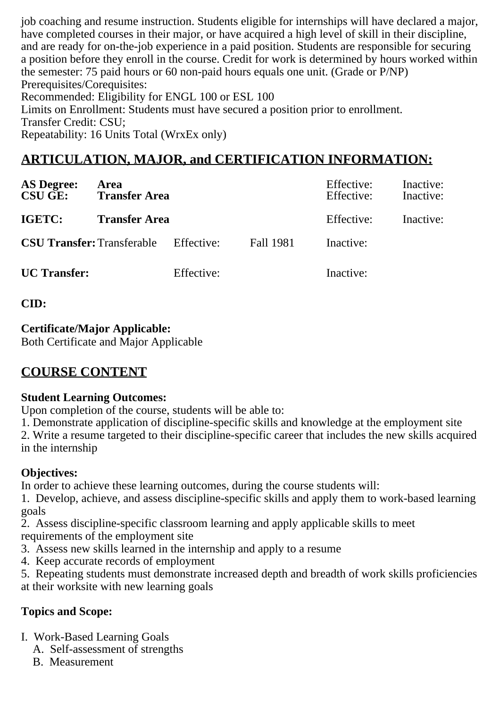job coaching and resume instruction. Students eligible for internships will have declared a major, have completed courses in their major, or have acquired a high level of skill in their discipline, and are ready for on-the-job experience in a paid position. Students are responsible for securing a position before they enroll in the course. Credit for work is determined by hours worked within the semester: 75 paid hours or 60 non-paid hours equals one unit. (Grade or P/NP) Prerequisites/Corequisites: Recommended: Eligibility for ENGL 100 or ESL 100 Limits on Enrollment: Students must have secured a position prior to enrollment. Transfer Credit: CSU; Repeatability: 16 Units Total (WrxEx only)

# **ARTICULATION, MAJOR, and CERTIFICATION INFORMATION:**

| <b>AS Degree:</b><br><b>CSU GE:</b> | Area<br><b>Transfer Area</b> |            |           | Effective:<br>Effective: | Inactive:<br>Inactive: |
|-------------------------------------|------------------------------|------------|-----------|--------------------------|------------------------|
| IGETC:                              | <b>Transfer Area</b>         |            |           | Effective:               | Inactive:              |
| <b>CSU Transfer: Transferable</b>   |                              | Effective: | Fall 1981 | Inactive:                |                        |
| <b>UC</b> Transfer:                 |                              | Effective: |           | Inactive:                |                        |

**CID:**

#### **Certificate/Major Applicable:**

[Both Certificate and Major Applicable](SR_ClassCheck.aspx?CourseKey=WEOC99I)

## **COURSE CONTENT**

#### **Student Learning Outcomes:**

Upon completion of the course, students will be able to:

1. Demonstrate application of discipline-specific skills and knowledge at the employment site

2. Write a resume targeted to their discipline-specific career that includes the new skills acquired in the internship

#### **Objectives:**

In order to achieve these learning outcomes, during the course students will:

1. Develop, achieve, and assess discipline-specific skills and apply them to work-based learning goals

2. Assess discipline-specific classroom learning and apply applicable skills to meet requirements of the employment site

- 3. Assess new skills learned in the internship and apply to a resume
- 4. Keep accurate records of employment

5. Repeating students must demonstrate increased depth and breadth of work skills proficiencies at their worksite with new learning goals

## **Topics and Scope:**

- I. Work-Based Learning Goals
	- A. Self-assessment of strengths
	- B. Measurement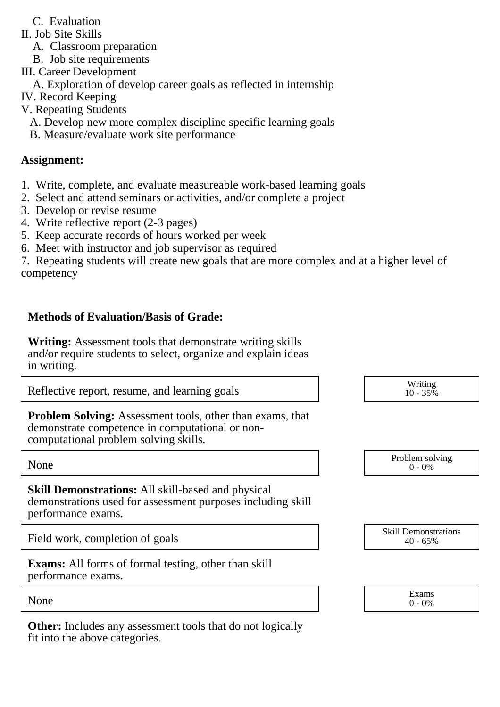- C. Evaluation
- II. Job Site Skills
	- A. Classroom preparation
	- B. Job site requirements
- III. Career Development
- A. Exploration of develop career goals as reflected in internship
- IV. Record Keeping
- V. Repeating Students
	- A. Develop new more complex discipline specific learning goals
	- B. Measure/evaluate work site performance

### **Assignment:**

- 1. Write, complete, and evaluate measureable work-based learning goals
- 2. Select and attend seminars or activities, and/or complete a project
- 3. Develop or revise resume
- 4. Write reflective report (2-3 pages)
- 5. Keep accurate records of hours worked per week
- 6. Meet with instructor and job supervisor as required

7. Repeating students will create new goals that are more complex and at a higher level of competency

### **Methods of Evaluation/Basis of Grade:**

**Writing:** Assessment tools that demonstrate writing skills and/or require students to select, organize and explain ideas in writing.

Reflective report, resume, and learning goals  $R$  and  $\frac{W \text{riting}}{10 - 35\%}$ 

**Problem Solving:** Assessment tools, other than exams, that demonstrate competence in computational or noncomputational problem solving skills.

**Skill Demonstrations:** All skill-based and physical demonstrations used for assessment purposes including skill performance exams.

Field work, completion of goals Skill Demonstrations Skill Demonstrations Skill Demonstrations

**Exams:** All forms of formal testing, other than skill performance exams.

**Other:** Includes any assessment tools that do not logically fit into the above categories.

 $10 - 35\%$ 

None Problem solving and the Problem solving problem solving and the Problem solving problem solving  $0 - 0\%$  $0 - 0\%$ 

40 - 65%

None  $\sum_{0}^{1}$  Exams  $0 - 0\%$